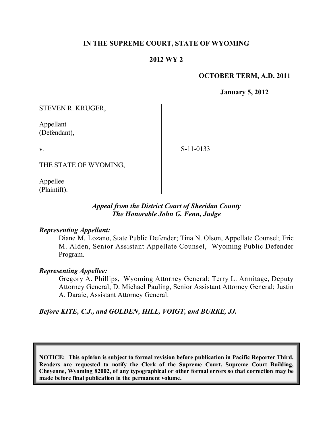### **IN THE SUPREME COURT, STATE OF WYOMING**

### **2012 WY 2**

#### **OCTOBER TERM, A.D. 2011**

**January 5, 2012**

STEVEN R. KRUGER,

Appellant (Defendant),

v.

S-11-0133

THE STATE OF WYOMING,

Appellee (Plaintiff).

### *Appeal from the District Court of Sheridan County The Honorable John G. Fenn, Judge*

#### *Representing Appellant:*

Diane M. Lozano, State Public Defender; Tina N. Olson, Appellate Counsel; Eric M. Alden, Senior Assistant Appellate Counsel, Wyoming Public Defender Program.

#### *Representing Appellee:*

Gregory A. Phillips, Wyoming Attorney General; Terry L. Armitage, Deputy Attorney General; D. Michael Pauling, Senior Assistant Attorney General; Justin A. Daraie, Assistant Attorney General.

*Before KITE, C.J., and GOLDEN, HILL, VOIGT, and BURKE, JJ.*

**NOTICE: This opinion is subject to formal revision before publication in Pacific Reporter Third. Readers are requested to notify the Clerk of the Supreme Court, Supreme Court Building, Cheyenne, Wyoming 82002, of any typographical or other formal errors so that correction may be made before final publication in the permanent volume.**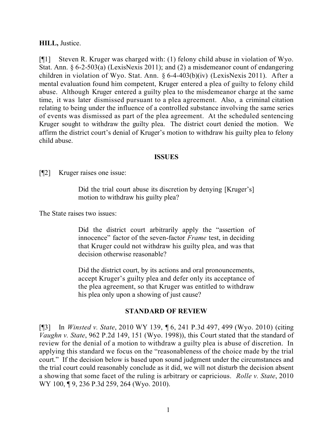#### **HILL,** Justice.

[¶1] Steven R. Kruger was charged with: (1) felony child abuse in violation of Wyo. Stat. Ann. § 6-2-503(a) (LexisNexis 2011); and (2) a misdemeanor count of endangering children in violation of Wyo. Stat. Ann. § 6-4-403(b)(iv) (LexisNexis 2011). After a mental evaluation found him competent, Kruger entered a plea of guilty to felony child abuse. Although Kruger entered a guilty plea to the misdemeanor charge at the same time, it was later dismissed pursuant to a plea agreement. Also, a criminal citation relating to being under the influence of a controlled substance involving the same series of events was dismissed as part of the plea agreement. At the scheduled sentencing Kruger sought to withdraw the guilty plea. The district court denied the motion. We affirm the district court's denial of Kruger's motion to withdraw his guilty plea to felony child abuse.

#### **ISSUES**

[¶2] Kruger raises one issue:

Did the trial court abuse its discretion by denying [Kruger's] motion to withdraw his guilty plea?

The State raises two issues:

Did the district court arbitrarily apply the "assertion of innocence" factor of the seven-factor *Frame* test, in deciding that Kruger could not withdraw his guilty plea, and was that decision otherwise reasonable?

Did the district court, by its actions and oral pronouncements, accept Kruger's guilty plea and defer only its acceptance of the plea agreement, so that Kruger was entitled to withdraw his plea only upon a showing of just cause?

## **STANDARD OF REVIEW**

[¶3] In *Winsted v. State*, 2010 WY 139, ¶ 6, 241 P.3d 497, 499 (Wyo. 2010) (citing *Vaughn v. State*, 962 P.2d 149, 151 (Wyo. 1998)), this Court stated that the standard of review for the denial of a motion to withdraw a guilty plea is abuse of discretion. In applying this standard we focus on the "reasonableness of the choice made by the trial court." If the decision below is based upon sound judgment under the circumstances and the trial court could reasonably conclude as it did, we will not disturb the decision absent a showing that some facet of the ruling is arbitrary or capricious. *Rolle v. State*, 2010 WY 100, 19, 236 P.3d 259, 264 (Wyo. 2010).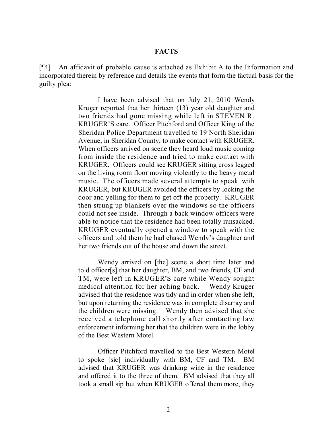#### **FACTS**

[¶4] An affidavit of probable cause is attached as Exhibit A to the Information and incorporated therein by reference and details the events that form the factual basis for the guilty plea:

> I have been advised that on July 21, 2010 Wendy Kruger reported that her thirteen (13) year old daughter and two friends had gone missing while left in STEVEN R. KRUGER'S care. Officer Pitchford and Officer King of the Sheridan Police Department travelled to 19 North Sheridan Avenue, in Sheridan County, to make contact with KRUGER. When officers arrived on scene they heard loud music coming from inside the residence and tried to make contact with KRUGER. Officers could see KRUGER sitting cross legged on the living room floor moving violently to the heavy metal music. The officers made several attempts to speak with KRUGER, but KRUGER avoided the officers by locking the door and yelling for them to get off the property. KRUGER then strung up blankets over the windows so the officers could not see inside. Through a back window officers were able to notice that the residence had been totally ransacked. KRUGER eventually opened a window to speak with the officers and told them he had chased Wendy's daughter and her two friends out of the house and down the street.

> Wendy arrived on [the] scene a short time later and told officer[s] that her daughter, BM, and two friends, CF and TM, were left in KRUGER'S care while Wendy sought medical attention for her aching back. Wendy Kruger advised that the residence was tidy and in order when she left, but upon returning the residence was in complete disarray and the children were missing. Wendy then advised that she received a telephone call shortly after contacting law enforcement informing her that the children were in the lobby of the Best Western Motel.

> Officer Pitchford travelled to the Best Western Motel to spoke [sic] individually with BM, CF and TM. BM advised that KRUGER was drinking wine in the residence and offered it to the three of them. BM advised that they all took a small sip but when KRUGER offered them more, they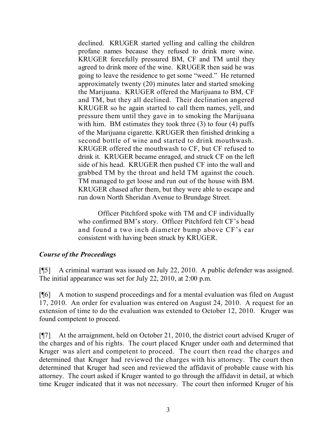declined. KRUGER started yelling and calling the children profane names because they refused to drink more wine. KRUGER forcefully pressured BM, CF and TM until they agreed to drink more of the wine. KRUGER then said he was going to leave the residence to get some "weed." He returned approximately twenty (20) minutes later and started smoking the Marijuana. KRUGER offered the Marijuana to BM, CF and TM, but they all declined. Their declination angered KRUGER so he again started to call them names, yell, and pressure them until they gave in to smoking the Marijuana with him. BM estimates they took three (3) to four (4) puffs of the Marijuana cigarette. KRUGER then finished drinking a second bottle of wine and started to drink mouthwash. KRUGER offered the mouthwash to CF, but CF refused to drink it. KRUGER became enraged, and struck CF on the left side of his head. KRUGER then pushed CF into the wall and grabbed TM by the throat and held TM against the couch. TM managed to get loose and run out of the house with BM. KRUGER chased after them, but they were able to escape and run down North Sheridan Avenue to Brundage Street.

Officer Pitchford spoke with TM and CF individually who confirmed BM's story. Officer Pitchford felt CF's head and found a two inch diameter bump above CF's ear consistent with having been struck by KRUGER.

## *Course of the Proceedings*

[¶5] A criminal warrant was issued on July 22, 2010. A public defender was assigned. The initial appearance was set for July 22, 2010, at 2:00 p.m.

[¶6] A motion to suspend proceedings and for a mental evaluation was filed on August 17, 2010. An order for evaluation was entered on August 24, 2010. A request for an extension of time to do the evaluation was extended to October 12, 2010. Kruger was found competent to proceed.

[¶7] At the arraignment, held on October 21, 2010, the district court advised Kruger of the charges and of his rights. The court placed Kruger under oath and determined that Kruger was alert and competent to proceed. The court then read the charges and determined that Kruger had reviewed the charges with his attorney. The court then determined that Kruger had seen and reviewed the affidavit of probable cause with his attorney. The court asked if Kruger wanted to go through the affidavit in detail, at which time Kruger indicated that it was not necessary. The court then informed Kruger of his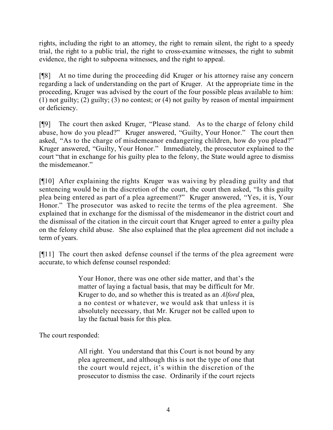rights, including the right to an attorney, the right to remain silent, the right to a speedy trial, the right to a public trial, the right to cross-examine witnesses, the right to submit evidence, the right to subpoena witnesses, and the right to appeal.

[¶8] At no time during the proceeding did Kruger or his attorney raise any concern regarding a lack of understanding on the part of Kruger. At the appropriate time in the proceeding, Kruger was advised by the court of the four possible pleas available to him: (1) not guilty; (2) guilty; (3) no contest; or (4) not guilty by reason of mental impairment or deficiency.

[¶9] The court then asked Kruger, "Please stand. As to the charge of felony child abuse, how do you plead?" Kruger answered, "Guilty, Your Honor." The court then asked, "As to the charge of misdemeanor endangering children, how do you plead?" Kruger answered, "Guilty, Your Honor." Immediately, the prosecutor explained to the court "that in exchange for his guilty plea to the felony, the State would agree to dismiss the misdemeanor."

[¶10] After explaining the rights Kruger was waiving by pleading guilty and that sentencing would be in the discretion of the court, the court then asked, "Is this guilty plea being entered as part of a plea agreement?" Kruger answered, "Yes, it is, Your Honor." The prosecutor was asked to recite the terms of the plea agreement. She explained that in exchange for the dismissal of the misdemeanor in the district court and the dismissal of the citation in the circuit court that Kruger agreed to enter a guilty plea on the felony child abuse. She also explained that the plea agreement did not include a term of years.

[¶11] The court then asked defense counsel if the terms of the plea agreement were accurate, to which defense counsel responded:

> Your Honor, there was one other side matter, and that's the matter of laying a factual basis, that may be difficult for Mr. Kruger to do, and so whether this is treated as an *Alford* plea, a no contest or whatever, we would ask that unless it is absolutely necessary, that Mr. Kruger not be called upon to lay the factual basis for this plea.

The court responded:

All right. You understand that this Court is not bound by any plea agreement, and although this is not the type of one that the court would reject, it's within the discretion of the prosecutor to dismiss the case. Ordinarily if the court rejects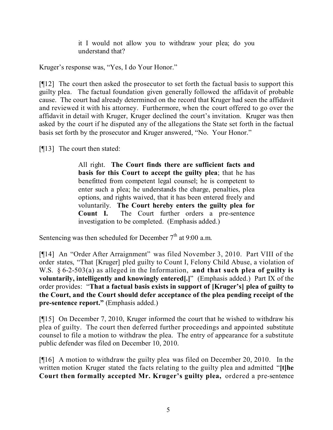it I would not allow you to withdraw your plea; do you understand that?

Kruger's response was, "Yes, I do Your Honor."

[¶12] The court then asked the prosecutor to set forth the factual basis to support this guilty plea. The factual foundation given generally followed the affidavit of probable cause. The court had already determined on the record that Kruger had seen the affidavit and reviewed it with his attorney. Furthermore, when the court offered to go over the affidavit in detail with Kruger, Kruger declined the court's invitation. Kruger was then asked by the court if he disputed any of the allegations the State set forth in the factual basis set forth by the prosecutor and Kruger answered, "No. Your Honor."

[¶13] The court then stated:

All right. **The Court finds there are sufficient facts and basis for this Court to accept the guilty plea**; that he has benefitted from competent legal counsel; he is competent to enter such a plea; he understands the charge, penalties, plea options, and rights waived, that it has been entered freely and voluntarily. **The Court hereby enters the guilty plea for Count I.** The Court further orders a pre-sentence investigation to be completed. (Emphasis added.)

Sentencing was then scheduled for December  $7<sup>th</sup>$  at 9:00 a.m.

[¶14] An "Order After Arraignment" was filed November 3, 2010. Part VIII of the order states, "That [Kruger] pled guilty to Count I, Felony Child Abuse, a violation of W.S. § 6-2-503(a) as alleged in the Information, **and that such plea of guilty is voluntarily, intelligently and knowingly entered[.]**" (Emphasis added.) Part IX of the order provides: "**That a factual basis exists in support of [Kruger's] plea of guilty to the Court, and the Court should defer acceptance of the plea pending receipt of the pre-sentence report."** (Emphasis added.)

[¶15] On December 7, 2010, Kruger informed the court that he wished to withdraw his plea of guilty. The court then deferred further proceedings and appointed substitute counsel to file a motion to withdraw the plea. The entry of appearance for a substitute public defender was filed on December 10, 2010.

[¶16] A motion to withdraw the guilty plea was filed on December 20, 2010. In the written motion Kruger stated the facts relating to the guilty plea and admitted "**[t]he Court then formally accepted Mr. Kruger's guilty plea,** ordered a pre-sentence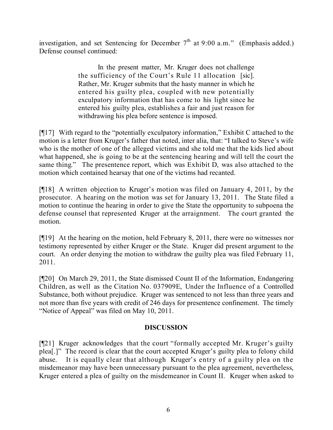investigation, and set Sentencing for December  $7<sup>th</sup>$  at 9:00 a.m." (Emphasis added.) Defense counsel continued:

> In the present matter, Mr. Kruger does not challenge the sufficiency of the Court's Rule 11 allocation [sic]. Rather, Mr. Kruger submits that the hasty manner in which he entered his guilty plea, coupled with new potentially exculpatory information that has come to his light since he entered his guilty plea, establishes a fair and just reason for withdrawing his plea before sentence is imposed.

[¶17] With regard to the "potentially exculpatory information," Exhibit C attached to the motion is a letter from Kruger's father that noted, inter alia, that: "I talked to Steve's wife who is the mother of one of the alleged victims and she told me that the kids lied about what happened, she is going to be at the sentencing hearing and will tell the court the same thing." The presentence report, which was Exhibit D, was also attached to the motion which contained hearsay that one of the victims had recanted.

[¶18] A written objection to Kruger's motion was filed on January 4, 2011, by the prosecutor. A hearing on the motion was set for January 13, 2011. The State filed a motion to continue the hearing in order to give the State the opportunity to subpoena the defense counsel that represented Kruger at the arraignment. The court granted the motion.

[¶19] At the hearing on the motion, held February 8, 2011, there were no witnesses nor testimony represented by either Kruger or the State. Kruger did present argument to the court. An order denying the motion to withdraw the guilty plea was filed February 11, 2011.

[¶20] On March 29, 2011, the State dismissed Count II of the Information, Endangering Children, as well as the Citation No. 037909E, Under the Influence of a Controlled Substance, both without prejudice. Kruger was sentenced to not less than three years and not more than five years with credit of 246 days for presentence confinement. The timely "Notice of Appeal" was filed on May 10, 2011.

# **DISCUSSION**

[¶21] Kruger acknowledges that the court "formally accepted Mr. Kruger's guilty plea[.]" The record is clear that the court accepted Kruger's guilty plea to felony child abuse. It is equally clear that although Kruger's entry of a guilty plea on the misdemeanor may have been unnecessary pursuant to the plea agreement, nevertheless, Kruger entered a plea of guilty on the misdemeanor in Count II. Kruger when asked to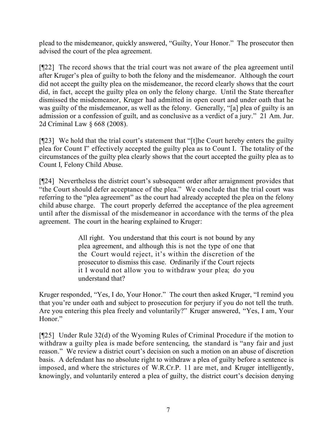plead to the misdemeanor, quickly answered, "Guilty, Your Honor." The prosecutor then advised the court of the plea agreement.

[¶22] The record shows that the trial court was not aware of the plea agreement until after Kruger's plea of guilty to both the felony and the misdemeanor. Although the court did not accept the guilty plea on the misdemeanor, the record clearly shows that the court did, in fact, accept the guilty plea on only the felony charge. Until the State thereafter dismissed the misdemeanor, Kruger had admitted in open court and under oath that he was guilty of the misdemeanor, as well as the felony. Generally, "[a] plea of guilty is an admission or a confession of guilt, and as conclusive as a verdict of a jury." 21 Am. Jur. 2d Criminal Law § 668 (2008).

[¶23] We hold that the trial court's statement that "[t]he Court hereby enters the guilty plea for Count I" effectively accepted the guilty plea as to Count I. The totality of the circumstances of the guilty plea clearly shows that the court accepted the guilty plea as to Count I, Felony Child Abuse.

[¶24] Nevertheless the district court's subsequent order after arraignment provides that "the Court should defer acceptance of the plea." We conclude that the trial court was referring to the "plea agreement" as the court had already accepted the plea on the felony child abuse charge. The court properly deferred the acceptance of the plea agreement until after the dismissal of the misdemeanor in accordance with the terms of the plea agreement. The court in the hearing explained to Kruger:

> All right. You understand that this court is not bound by any plea agreement, and although this is not the type of one that the Court would reject, it's within the discretion of the prosecutor to dismiss this case. Ordinarily if the Court rejects it I would not allow you to withdraw your plea; do you understand that?

Kruger responded, "Yes, I do, Your Honor." The court then asked Kruger, "I remind you that you're under oath and subject to prosecution for perjury if you do not tell the truth. Are you entering this plea freely and voluntarily?" Kruger answered, "Yes, I am, Your Honor."

[¶25] Under Rule 32(d) of the Wyoming Rules of Criminal Procedure if the motion to withdraw a guilty plea is made before sentencing, the standard is "any fair and just reason." We review a district court's decision on such a motion on an abuse of discretion basis. A defendant has no absolute right to withdraw a plea of guilty before a sentence is imposed, and where the strictures of W.R.Cr.P. 11 are met, and Kruger intelligently, knowingly, and voluntarily entered a plea of guilty, the district court's decision denying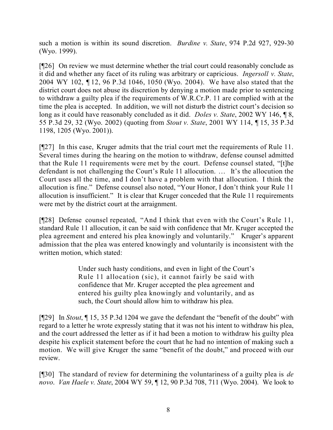such a motion is within its sound discretion. *Burdine v. State*, 974 P.2d 927, 929-30 (Wyo. 1999).

[¶26] On review we must determine whether the trial court could reasonably conclude as it did and whether any facet of its ruling was arbitrary or capricious. *Ingersoll v. State*, 2004 WY 102, ¶ 12, 96 P.3d 1046, 1050 (Wyo. 2004). We have also stated that the district court does not abuse its discretion by denying a motion made prior to sentencing to withdraw a guilty plea if the requirements of W.R.Cr.P. 11 are complied with at the time the plea is accepted. In addition, we will not disturb the district court's decision so long as it could have reasonably concluded as it did. *Doles v. State*, 2002 WY 146, ¶ 8, 55 P.3d 29, 32 (Wyo. 2002) (quoting from *Stout v. State*, 2001 WY 114, ¶ 15, 35 P.3d 1198, 1205 (Wyo. 2001)).

[¶27] In this case, Kruger admits that the trial court met the requirements of Rule 11. Several times during the hearing on the motion to withdraw, defense counsel admitted that the Rule 11 requirements were met by the court. Defense counsel stated, "[t]he defendant is not challenging the Court's Rule 11 allocution. … It's the allocution the Court uses all the time, and I don't have a problem with that allocution. I think the allocution is fine." Defense counsel also noted, "Your Honor, I don't think your Rule 11 allocution is insufficient." It is clear that Kruger conceded that the Rule 11 requirements were met by the district court at the arraignment.

[¶28] Defense counsel repeated, "And I think that even with the Court's Rule 11, standard Rule 11 allocution, it can be said with confidence that Mr. Kruger accepted the plea agreement and entered his plea knowingly and voluntarily." Kruger's apparent admission that the plea was entered knowingly and voluntarily is inconsistent with the written motion, which stated:

> Under such hasty conditions, and even in light of the Court's Rule 11 allocation (sic), it cannot fairly be said with confidence that Mr. Kruger accepted the plea agreement and entered his guilty plea knowingly and voluntarily, and as such, the Court should allow him to withdraw his plea.

[¶29] In *Stout*, ¶ 15, 35 P.3d 1204 we gave the defendant the "benefit of the doubt" with regard to a letter he wrote expressly stating that it was not his intent to withdraw his plea, and the court addressed the letter as if it had been a motion to withdraw his guilty plea despite his explicit statement before the court that he had no intention of making such a motion. We will give Kruger the same "benefit of the doubt," and proceed with our review.

[¶30] The standard of review for determining the voluntariness of a guilty plea is *de novo*. *Van Haele v. State*, 2004 WY 59, ¶ 12, 90 P.3d 708, 711 (Wyo. 2004). We look to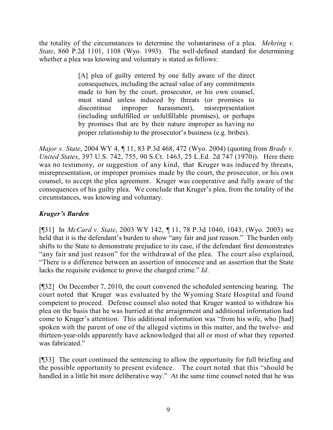the totality of the circumstances to determine the voluntariness of a plea. *Mehring v. State*, 860 P.2d 1101, 1108 (Wyo. 1993). The well-defined standard for determining whether a plea was knowing and voluntary is stated as follows:

> [A] plea of guilty entered by one fully aware of the direct consequences, including the actual value of any commitments made to him by the court, prosecutor, or his own counsel, must stand unless induced by threats (or promises to discontinue improper harassment), misrepresentation (including unfulfilled or unfulfillable promises), or perhaps by promises that are by their nature improper as having no proper relationship to the prosecutor's business (e.g. bribes).

*Major v. State*, 2004 WY 4, ¶ 11, 83 P.3d 468, 472 (Wyo. 2004) (quoting from *Brady v. United States*, 397 U.S. 742, 755, 90 S.Ct. 1463, 25 L.Ed. 2d 747 (1970)). Here there was no testimony, or suggestion of any kind, that Kruger was induced by threats, misrepresentation, or improper promises made by the court, the prosecutor, or his own counsel, to accept the plea agreement. Kruger was cooperative and fully aware of the consequences of his guilty plea. We conclude that Kruger's plea, from the totality of the circumstances, was knowing and voluntary.

# *Kruger's Burden*

[¶31] In *McCard v. State*, 2003 WY 142, ¶ 11, 78 P.3d 1040, 1043, (Wyo. 2003) we held that it is the defendant's burden to show "any fair and just reason." The burden only shifts to the State to demonstrate prejudice to its case, if the defendant first demonstrates "any fair and just reason" for the withdrawal of the plea. The court also explained, "There is a difference between an assertion of innocence and an assertion that the State lacks the requisite evidence to prove the charged crime." *Id*.

[¶32] On December 7, 2010, the court convened the scheduled sentencing hearing. The court noted that Kruger was evaluated by the Wyoming State Hospital and found competent to proceed. Defense counsel also noted that Kruger wanted to withdraw his plea on the basis that he was hurried at the arraignment and additional information had come to Kruger's attention. This additional information was "from his wife, who [had] spoken with the parent of one of the alleged victims in this matter, and the twelve- and thirteen-year-olds apparently have acknowledged that all or most of what they reported was fabricated."

[¶33] The court continued the sentencing to allow the opportunity for full briefing and the possible opportunity to present evidence. The court noted that this "should be handled in a little bit more deliberative way." At the same time counsel noted that he was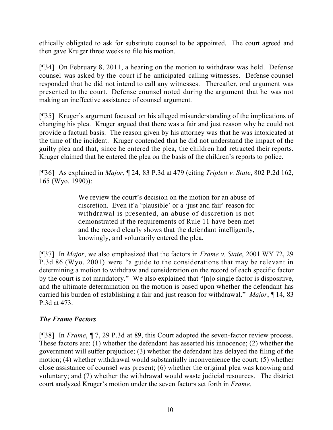ethically obligated to ask for substitute counsel to be appointed. The court agreed and then gave Kruger three weeks to file his motion.

[¶34] On February 8, 2011, a hearing on the motion to withdraw was held. Defense counsel was asked by the court if he anticipated calling witnesses. Defense counsel responded that he did not intend to call any witnesses. Thereafter, oral argument was presented to the court. Defense counsel noted during the argument that he was not making an ineffective assistance of counsel argument.

[¶35] Kruger's argument focused on his alleged misunderstanding of the implications of changing his plea. Kruger argued that there was a fair and just reason why he could not provide a factual basis. The reason given by his attorney was that he was intoxicated at the time of the incident. Kruger contended that he did not understand the impact of the guilty plea and that, since he entered the plea, the children had retracted their reports. Kruger claimed that he entered the plea on the basis of the children's reports to police.

[¶36] As explained in *Major*, ¶ 24, 83 P.3d at 479 (citing *Triplett v. State*, 802 P.2d 162, 165 (Wyo. 1990)):

> We review the court's decision on the motion for an abuse of discretion. Even if a 'plausible' or a 'just and fair' reason for withdrawal is presented, an abuse of discretion is not demonstrated if the requirements of Rule 11 have been met and the record clearly shows that the defendant intelligently, knowingly, and voluntarily entered the plea.

[¶37] In *Major*, we also emphasized that the factors in *Frame v. State*, 2001 WY 72, 29 P.3d 86 (Wyo. 2001) were "a guide to the considerations that may be relevant in determining a motion to withdraw and consideration on the record of each specific factor by the court is not mandatory." We also explained that "[n]o single factor is dispositive, and the ultimate determination on the motion is based upon whether the defendant has carried his burden of establishing a fair and just reason for withdrawal." *Major*, ¶ 14, 83 P.3d at 473.

# *The Frame Factors*

[¶38] In *Frame*, ¶ 7, 29 P.3d at 89, this Court adopted the seven-factor review process. These factors are: (1) whether the defendant has asserted his innocence; (2) whether the government will suffer prejudice; (3) whether the defendant has delayed the filing of the motion; (4) whether withdrawal would substantially inconvenience the court; (5) whether close assistance of counsel was present; (6) whether the original plea was knowing and voluntary; and (7) whether the withdrawal would waste judicial resources. The district court analyzed Kruger's motion under the seven factors set forth in *Frame*.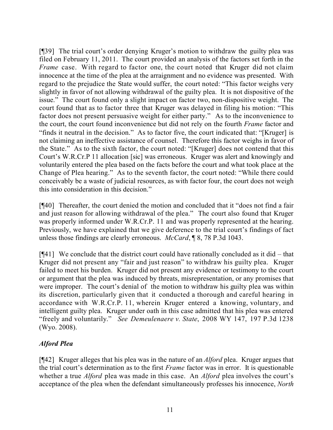[¶39] The trial court's order denying Kruger's motion to withdraw the guilty plea was filed on February 11, 2011. The court provided an analysis of the factors set forth in the *Frame* case. With regard to factor one, the court noted that Kruger did not claim innocence at the time of the plea at the arraignment and no evidence was presented. With regard to the prejudice the State would suffer, the court noted: "This factor weighs very slightly in favor of not allowing withdrawal of the guilty plea. It is not dispositive of the issue." The court found only a slight impact on factor two, non-dispositive weight. The court found that as to factor three that Kruger was delayed in filing his motion: "This factor does not present persuasive weight for either party." As to the inconvenience to the court, the court found inconvenience but did not rely on the fourth *Frame* factor and "finds it neutral in the decision." As to factor five, the court indicated that: "[Kruger] is not claiming an ineffective assistance of counsel. Therefore this factor weighs in favor of the State." As to the sixth factor, the court noted: "[Kruger] does not contend that this Court's W.R.Cr.P 11 allocation [sic] was erroneous. Kruger was alert and knowingly and voluntarily entered the plea based on the facts before the court and what took place at the Change of Plea hearing." As to the seventh factor, the court noted: "While there could conceivably be a waste of judicial resources, as with factor four, the court does not weigh this into consideration in this decision."

[¶40] Thereafter, the court denied the motion and concluded that it "does not find a fair and just reason for allowing withdrawal of the plea." The court also found that Kruger was properly informed under W.R.Cr.P. 11 and was properly represented at the hearing. Previously, we have explained that we give deference to the trial court's findings of fact unless those findings are clearly erroneous. *McCard*, ¶ 8, 78 P.3d 1043.

 $[941]$  We conclude that the district court could have rationally concluded as it did – that Kruger did not present any "fair and just reason" to withdraw his guilty plea. Kruger failed to meet his burden. Kruger did not present any evidence or testimony to the court or argument that the plea was induced by threats, misrepresentation, or any promises that were improper. The court's denial of the motion to withdraw his guilty plea was within its discretion, particularly given that it conducted a thorough and careful hearing in accordance with W.R.Cr.P. 11, wherein Kruger entered a knowing, voluntary, and intelligent guilty plea. Kruger under oath in this case admitted that his plea was entered "freely and voluntarily." *See Demeulenaere v. State*, 2008 WY 147, 197 P.3d 1238 (Wyo. 2008).

# *Alford Plea*

[¶42] Kruger alleges that his plea was in the nature of an *Alford* plea. Kruger argues that the trial court's determination as to the first *Frame* factor was in error. It is questionable whether a true *Alford* plea was made in this case. An *Alford* plea involves the court's acceptance of the plea when the defendant simultaneously professes his innocence, *North*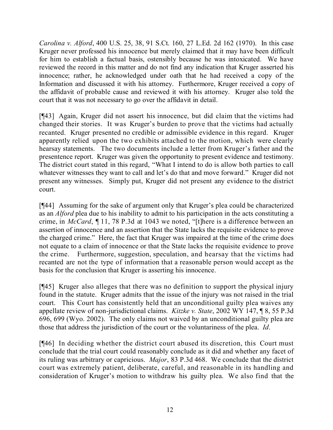*Carolina v. Alford*, 400 U.S. 25, 38, 91 S.Ct. 160, 27 L.Ed. 2d 162 (1970). In this case Kruger never professed his innocence but merely claimed that it may have been difficult for him to establish a factual basis, ostensibly because he was intoxicated. We have reviewed the record in this matter and do not find any indication that Kruger asserted his innocence; rather, he acknowledged under oath that he had received a copy of the Information and discussed it with his attorney. Furthermore, Kruger received a copy of the affidavit of probable cause and reviewed it with his attorney. Kruger also told the court that it was not necessary to go over the affidavit in detail.

[¶43] Again, Kruger did not assert his innocence, but did claim that the victims had changed their stories. It was Kruger's burden to prove that the victims had actually recanted. Kruger presented no credible or admissible evidence in this regard. Kruger apparently relied upon the two exhibits attached to the motion, which were clearly hearsay statements. The two documents include a letter from Kruger's father and the presentence report. Kruger was given the opportunity to present evidence and testimony. The district court stated in this regard, "What I intend to do is allow both parties to call whatever witnesses they want to call and let's do that and move forward." Kruger did not present any witnesses. Simply put, Kruger did not present any evidence to the district court.

[¶44] Assuming for the sake of argument only that Kruger's plea could be characterized as an *Alford* plea due to his inability to admit to his participation in the acts constituting a crime, in *McCard*, ¶ 11, 78 P.3d at 1043 we noted, "[t]here is a difference between an assertion of innocence and an assertion that the State lacks the requisite evidence to prove the charged crime." Here, the fact that Kruger was impaired at the time of the crime does not equate to a claim of innocence or that the State lacks the requisite evidence to prove the crime. Furthermore, suggestion, speculation, and hearsay that the victims had recanted are not the type of information that a reasonable person would accept as the basis for the conclusion that Kruger is asserting his innocence.

[¶45] Kruger also alleges that there was no definition to support the physical injury found in the statute. Kruger admits that the issue of the injury was not raised in the trial court. This Court has consistently held that an unconditional guilty plea waives any appellate review of non-jurisdictional claims. *Kitzke v. State*, 2002 WY 147, ¶ 8, 55 P.3d 696, 699 (Wyo. 2002). The only claims not waived by an unconditional guilty plea are those that address the jurisdiction of the court or the voluntariness of the plea. *Id*.

[¶46] In deciding whether the district court abused its discretion, this Court must conclude that the trial court could reasonably conclude as it did and whether any facet of its ruling was arbitrary or capricious. *Major*, 83 P.3d 468. We conclude that the district court was extremely patient, deliberate, careful, and reasonable in its handling and consideration of Kruger's motion to withdraw his guilty plea. We also find that the